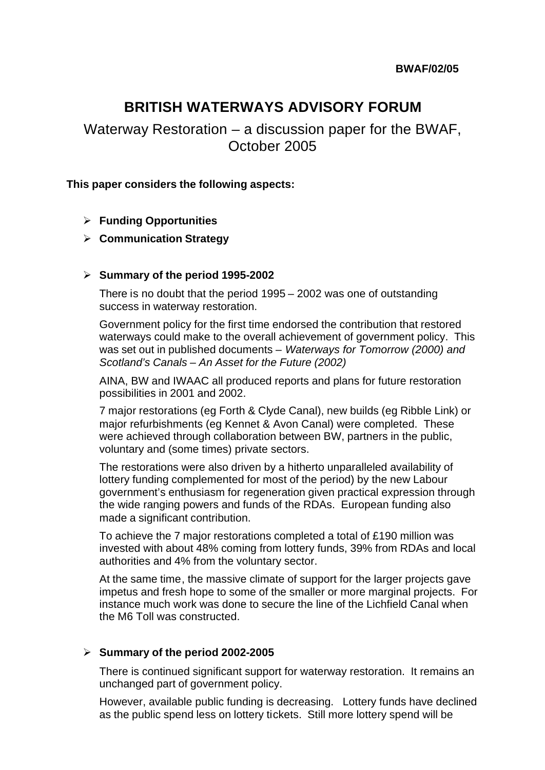# **BRITISH WATERWAYS ADVISORY FORUM**

Waterway Restoration – a discussion paper for the BWAF, October 2005

### **This paper considers the following aspects:**

## ÿ **Funding Opportunities**

#### ÿ **Communication Strategy**

#### ÿ **Summary of the period 1995-2002**

There is no doubt that the period 1995 – 2002 was one of outstanding success in waterway restoration.

Government policy for the first time endorsed the contribution that restored waterways could make to the overall achievement of government policy. This was set out in published documents – *Waterways for Tomorrow (2000) and Scotland's Canals – An Asset for the Future (2002)*

AINA, BW and IWAAC all produced reports and plans for future restoration possibilities in 2001 and 2002.

7 major restorations (eg Forth & Clyde Canal), new builds (eg Ribble Link) or major refurbishments (eg Kennet & Avon Canal) were completed. These were achieved through collaboration between BW, partners in the public, voluntary and (some times) private sectors.

The restorations were also driven by a hitherto unparalleled availability of lottery funding complemented for most of the period) by the new Labour government's enthusiasm for regeneration given practical expression through the wide ranging powers and funds of the RDAs. European funding also made a significant contribution.

To achieve the 7 major restorations completed a total of £190 million was invested with about 48% coming from lottery funds, 39% from RDAs and local authorities and 4% from the voluntary sector.

At the same time, the massive climate of support for the larger projects gave impetus and fresh hope to some of the smaller or more marginal projects. For instance much work was done to secure the line of the Lichfield Canal when the M6 Toll was constructed.

#### ÿ **Summary of the period 2002-2005**

There is continued significant support for waterway restoration. It remains an unchanged part of government policy.

However, available public funding is decreasing. Lottery funds have declined as the public spend less on lottery tickets. Still more lottery spend will be